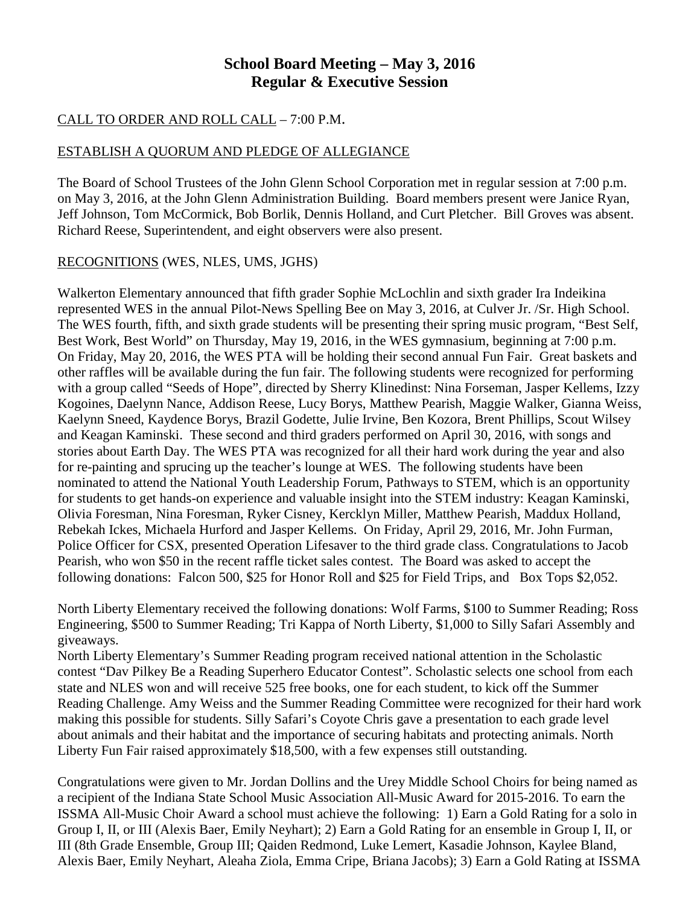## **School Board Meeting – May 3, 2016 Regular & Executive Session**

## CALL TO ORDER AND ROLL CALL – 7:00 P.M.

## ESTABLISH A QUORUM AND PLEDGE OF ALLEGIANCE

The Board of School Trustees of the John Glenn School Corporation met in regular session at 7:00 p.m. on May 3, 2016, at the John Glenn Administration Building. Board members present were Janice Ryan, Jeff Johnson, Tom McCormick, Bob Borlik, Dennis Holland, and Curt Pletcher. Bill Groves was absent. Richard Reese, Superintendent, and eight observers were also present.

## RECOGNITIONS (WES, NLES, UMS, JGHS)

Walkerton Elementary announced that fifth grader Sophie McLochlin and sixth grader Ira Indeikina represented WES in the annual Pilot-News Spelling Bee on May 3, 2016, at Culver Jr. /Sr. High School. The WES fourth, fifth, and sixth grade students will be presenting their spring music program, "Best Self, Best Work, Best World" on Thursday, May 19, 2016, in the WES gymnasium, beginning at 7:00 p.m. On Friday, May 20, 2016, the WES PTA will be holding their second annual Fun Fair. Great baskets and other raffles will be available during the fun fair. The following students were recognized for performing with a group called "Seeds of Hope", directed by Sherry Klinedinst: Nina Forseman, Jasper Kellems, Izzy Kogoines, Daelynn Nance, Addison Reese, Lucy Borys, Matthew Pearish, Maggie Walker, Gianna Weiss, Kaelynn Sneed, Kaydence Borys, Brazil Godette, Julie Irvine, Ben Kozora, Brent Phillips, Scout Wilsey and Keagan Kaminski. These second and third graders performed on April 30, 2016, with songs and stories about Earth Day. The WES PTA was recognized for all their hard work during the year and also for re-painting and sprucing up the teacher's lounge at WES. The following students have been nominated to attend the National Youth Leadership Forum, Pathways to STEM, which is an opportunity for students to get hands-on experience and valuable insight into the STEM industry: Keagan Kaminski, Olivia Foresman, Nina Foresman, Ryker Cisney, Kercklyn Miller, Matthew Pearish, Maddux Holland, Rebekah Ickes, Michaela Hurford and Jasper Kellems. On Friday, April 29, 2016, Mr. John Furman, Police Officer for CSX, presented Operation Lifesaver to the third grade class. Congratulations to Jacob Pearish, who won \$50 in the recent raffle ticket sales contest. The Board was asked to accept the following donations: Falcon 500, \$25 for Honor Roll and \$25 for Field Trips, and Box Tops \$2,052.

North Liberty Elementary received the following donations: Wolf Farms, \$100 to Summer Reading; Ross Engineering, \$500 to Summer Reading; Tri Kappa of North Liberty, \$1,000 to Silly Safari Assembly and giveaways.

North Liberty Elementary's Summer Reading program received national attention in the Scholastic contest "Dav Pilkey Be a Reading Superhero Educator Contest". Scholastic selects one school from each state and NLES won and will receive 525 free books, one for each student, to kick off the Summer Reading Challenge. Amy Weiss and the Summer Reading Committee were recognized for their hard work making this possible for students. Silly Safari's Coyote Chris gave a presentation to each grade level about animals and their habitat and the importance of securing habitats and protecting animals. North Liberty Fun Fair raised approximately \$18,500, with a few expenses still outstanding.

Congratulations were given to Mr. Jordan Dollins and the Urey Middle School Choirs for being named as a recipient of the Indiana State School Music Association All-Music Award for 2015-2016. To earn the ISSMA All-Music Choir Award a school must achieve the following: 1) Earn a Gold Rating for a solo in Group I, II, or III (Alexis Baer, Emily Neyhart); 2) Earn a Gold Rating for an ensemble in Group I, II, or III (8th Grade Ensemble, Group III; Qaiden Redmond, Luke Lemert, Kasadie Johnson, Kaylee Bland, Alexis Baer, Emily Neyhart, Aleaha Ziola, Emma Cripe, Briana Jacobs); 3) Earn a Gold Rating at ISSMA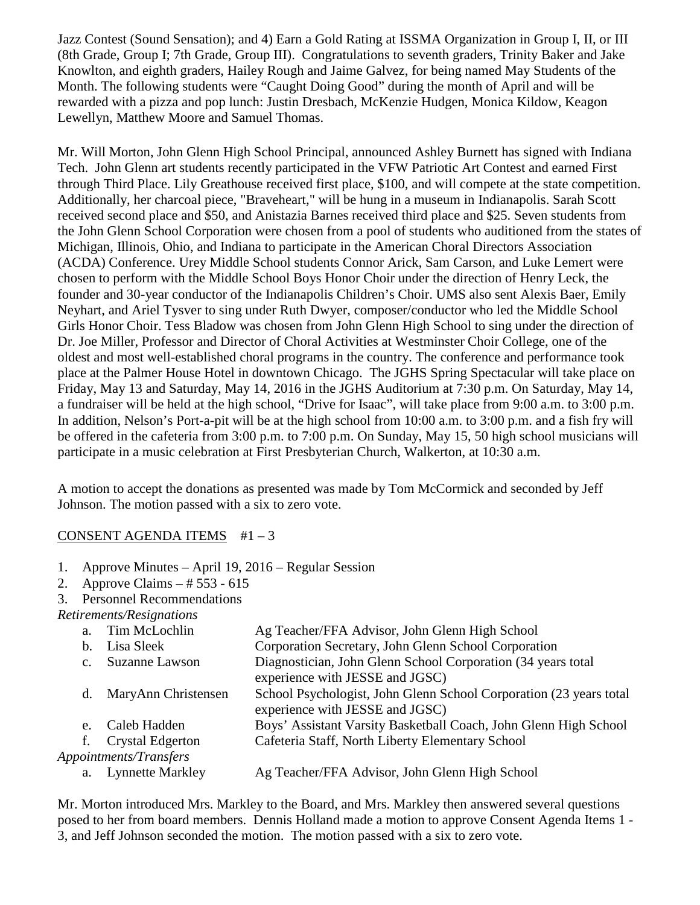Jazz Contest (Sound Sensation); and 4) Earn a Gold Rating at ISSMA Organization in Group I, II, or III (8th Grade, Group I; 7th Grade, Group III). Congratulations to seventh graders, Trinity Baker and Jake Knowlton, and eighth graders, Hailey Rough and Jaime Galvez, for being named May Students of the Month. The following students were "Caught Doing Good" during the month of April and will be rewarded with a pizza and pop lunch: Justin Dresbach, McKenzie Hudgen, Monica Kildow, Keagon Lewellyn, Matthew Moore and Samuel Thomas.

Mr. Will Morton, John Glenn High School Principal, announced Ashley Burnett has signed with Indiana Tech. John Glenn art students recently participated in the VFW Patriotic Art Contest and earned First through Third Place. Lily Greathouse received first place, \$100, and will compete at the state competition. Additionally, her charcoal piece, "Braveheart," will be hung in a museum in Indianapolis. Sarah Scott received second place and \$50, and Anistazia Barnes received third place and \$25. Seven students from the John Glenn School Corporation were chosen from a pool of students who auditioned from the states of Michigan, Illinois, Ohio, and Indiana to participate in the American Choral Directors Association (ACDA) Conference. Urey Middle School students Connor Arick, Sam Carson, and Luke Lemert were chosen to perform with the Middle School Boys Honor Choir under the direction of Henry Leck, the founder and 30-year conductor of the Indianapolis Children's Choir. UMS also sent Alexis Baer, Emily Neyhart, and Ariel Tysver to sing under Ruth Dwyer, composer/conductor who led the Middle School Girls Honor Choir. Tess Bladow was chosen from John Glenn High School to sing under the direction of Dr. Joe Miller, Professor and Director of Choral Activities at Westminster Choir College, one of the oldest and most well-established choral programs in the country. The conference and performance took place at the Palmer House Hotel in downtown Chicago. The JGHS Spring Spectacular will take place on Friday, May 13 and Saturday, May 14, 2016 in the JGHS Auditorium at 7:30 p.m. On Saturday, May 14, a fundraiser will be held at the high school, "Drive for Isaac", will take place from 9:00 a.m. to 3:00 p.m. In addition, Nelson's Port-a-pit will be at the high school from 10:00 a.m. to 3:00 p.m. and a fish fry will be offered in the cafeteria from 3:00 p.m. to 7:00 p.m. On Sunday, May 15, 50 high school musicians will participate in a music celebration at First Presbyterian Church, Walkerton, at 10:30 a.m.

A motion to accept the donations as presented was made by Tom McCormick and seconded by Jeff Johnson. The motion passed with a six to zero vote.

## CONSENT AGENDA ITEMS #1 – 3

- 1. Approve Minutes April 19, 2016 Regular Session
- 2. Approve Claims # 553 615
- 3. Personnel Recommendations

#### *Retirements/Resignations*

| a.          | Tim McLochlin           | Ag Teacher/FFA Advisor, John Glenn High School                     |
|-------------|-------------------------|--------------------------------------------------------------------|
| $b_{1}$     | Lisa Sleek              | Corporation Secretary, John Glenn School Corporation               |
| $c_{\cdot}$ | <b>Suzanne Lawson</b>   | Diagnostician, John Glenn School Corporation (34 years total       |
|             |                         | experience with JESSE and JGSC)                                    |
| d.          | MaryAnn Christensen     | School Psychologist, John Glenn School Corporation (23 years total |
|             |                         | experience with JESSE and JGSC)                                    |
| e.          | Caleb Hadden            | Boys' Assistant Varsity Basketball Coach, John Glenn High School   |
|             | f. Crystal Edgerton     | Cafeteria Staff, North Liberty Elementary School                   |
|             | Appointments/Transfers  |                                                                    |
| a.          | <b>Lynnette Markley</b> | Ag Teacher/FFA Advisor, John Glenn High School                     |
|             |                         |                                                                    |

Mr. Morton introduced Mrs. Markley to the Board, and Mrs. Markley then answered several questions posed to her from board members. Dennis Holland made a motion to approve Consent Agenda Items 1 - 3, and Jeff Johnson seconded the motion. The motion passed with a six to zero vote.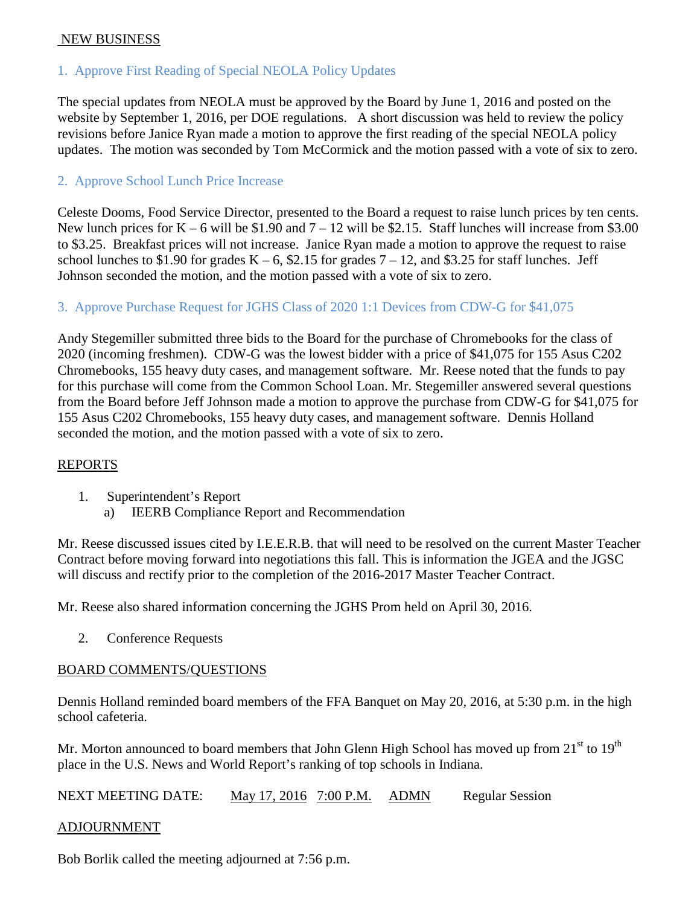#### NEW BUSINESS

## 1. Approve First Reading of Special NEOLA Policy Updates

The special updates from NEOLA must be approved by the Board by June 1, 2016 and posted on the website by September 1, 2016, per DOE regulations. A short discussion was held to review the policy revisions before Janice Ryan made a motion to approve the first reading of the special NEOLA policy updates. The motion was seconded by Tom McCormick and the motion passed with a vote of six to zero.

#### 2. Approve School Lunch Price Increase

Celeste Dooms, Food Service Director, presented to the Board a request to raise lunch prices by ten cents. New lunch prices for  $K - 6$  will be \$1.90 and  $7 - 12$  will be \$2.15. Staff lunches will increase from \$3.00 to \$3.25. Breakfast prices will not increase. Janice Ryan made a motion to approve the request to raise school lunches to \$1.90 for grades  $K - 6$ , \$2.15 for grades  $7 - 12$ , and \$3.25 for staff lunches. Jeff Johnson seconded the motion, and the motion passed with a vote of six to zero.

## 3. Approve Purchase Request for JGHS Class of 2020 1:1 Devices from CDW-G for \$41,075

Andy Stegemiller submitted three bids to the Board for the purchase of Chromebooks for the class of 2020 (incoming freshmen). CDW-G was the lowest bidder with a price of \$41,075 for 155 Asus C202 Chromebooks, 155 heavy duty cases, and management software. Mr. Reese noted that the funds to pay for this purchase will come from the Common School Loan. Mr. Stegemiller answered several questions from the Board before Jeff Johnson made a motion to approve the purchase from CDW-G for \$41,075 for 155 Asus C202 Chromebooks, 155 heavy duty cases, and management software. Dennis Holland seconded the motion, and the motion passed with a vote of six to zero.

#### REPORTS

- 1. Superintendent's Report
	- a) IEERB Compliance Report and Recommendation

Mr. Reese discussed issues cited by I.E.E.R.B. that will need to be resolved on the current Master Teacher Contract before moving forward into negotiations this fall. This is information the JGEA and the JGSC will discuss and rectify prior to the completion of the 2016-2017 Master Teacher Contract.

Mr. Reese also shared information concerning the JGHS Prom held on April 30, 2016.

2. Conference Requests

#### BOARD COMMENTS/QUESTIONS

Dennis Holland reminded board members of the FFA Banquet on May 20, 2016, at 5:30 p.m. in the high school cafeteria.

Mr. Morton announced to board members that John Glenn High School has moved up from 21<sup>st</sup> to 19<sup>th</sup> place in the U.S. News and World Report's ranking of top schools in Indiana.

| <b>NEXT MEETING DATE:</b> | May 17, 2016 7:00 P.M. ADMN |  |  | <b>Regular Session</b> |
|---------------------------|-----------------------------|--|--|------------------------|
|---------------------------|-----------------------------|--|--|------------------------|

#### ADJOURNMENT

Bob Borlik called the meeting adjourned at 7:56 p.m.